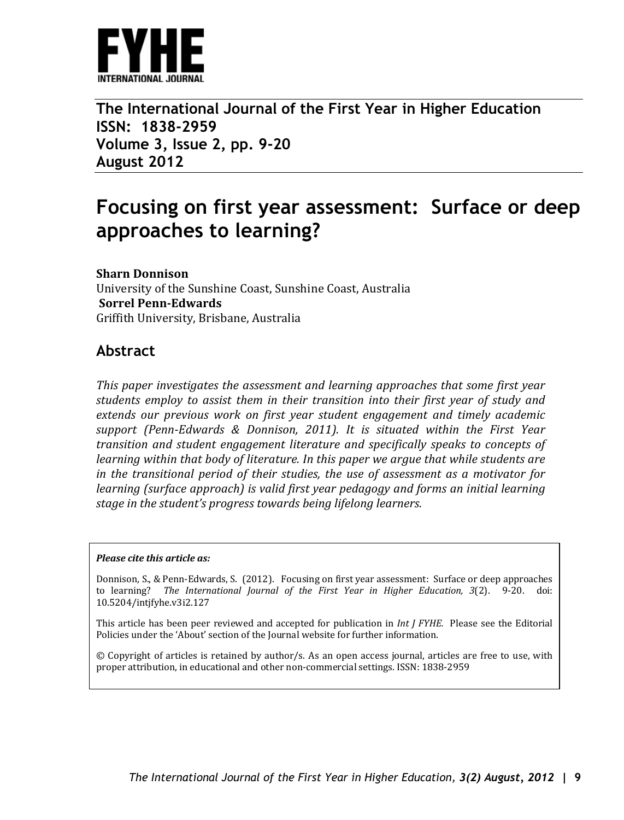

**The International Journal of the First Year in Higher Education ISSN: 1838-2959 Volume 3, Issue 2, pp. 9-20 August 2012**

# **Focusing on first year assessment: Surface or deep approaches to learning?**

#### **Sharn Donnison**

University of the Sunshine Coast, Sunshine Coast, Australia **Sorrel Penn-Edwards** Griffith University, Brisbane, Australia

#### **Abstract**

*This paper investigates the assessment and learning approaches that some first year students employ to assist them in their transition into their first year of study and extends our previous work on first year student engagement and timely academic support (Penn-Edwards & Donnison, 2011). It is situated within the First Year transition and student engagement literature and specifically speaks to concepts of learning within that body of literature. In this paper we argue that while students are in the transitional period of their studies, the use of assessment as a motivator for learning (surface approach) is valid first year pedagogy and forms an initial learning stage in the student's progress towards being lifelong learners.* 

#### *Please cite this article as:*

Donnison, S., & Penn-Edwards, S. (2012). Focusing on first year assessment: Surface or deep approaches to learning? *The International Journal of the First Year in Higher Education, 3*(2). 9-20. doi: 10.5204/intjfyhe.v3i2.127

This article has been peer reviewed and accepted for publication in *Int J FYHE.* Please see the Editorial Policies under the 'About' section of the Journal website for further information.

© Copyright of articles is retained by author/s. As an open access journal, articles are free to use, with proper attribution, in educational and other non-commercial settings. ISSN: 1838-2959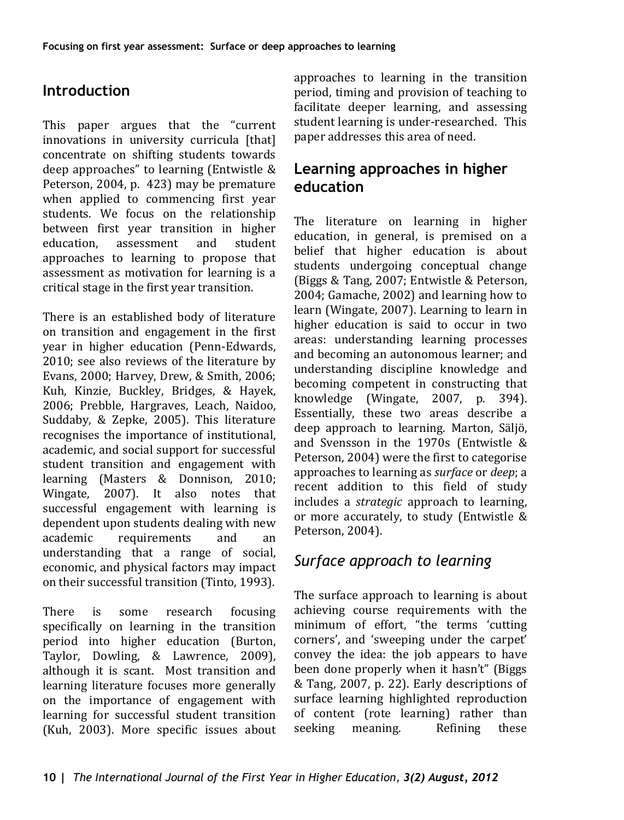## **Introduction**

This paper argues that the "current innovations in university curricula [that] concentrate on shifting students towards deep approaches" to learning (Entwistle & Peterson, 2004, p. 423) may be premature when applied to commencing first year students. We focus on the relationship between first year transition in higher<br>education assessment and student education. approaches to learning to propose that assessment as motivation for learning is a critical stage in the first year transition.

There is an established body of literature on transition and engagement in the first year in higher education (Penn-Edwards, 2010; see also reviews of the literature by Evans, 2000; Harvey, Drew, & Smith, 2006; Kuh, Kinzie, Buckley, Bridges, & Hayek, 2006; Prebble, Hargraves, Leach, Naidoo, Suddaby, & Zepke, 2005). This literature recognises the importance of institutional, academic, and social support for successful student transition and engagement with learning (Masters & Donnison, 2010; Wingate, 2007). It also notes that successful engagement with learning is dependent upon students dealing with new<br>academic requirements and an requirements understanding that a range of social, economic, and physical factors may impact on their successful transition (Tinto, 1993).

There is some research focusing specifically on learning in the transition period into higher education (Burton, Taylor, Dowling, & Lawrence, 2009), although it is scant. Most transition and learning literature focuses more generally on the importance of engagement with learning for successful student transition (Kuh, 2003). More specific issues about approaches to learning in the transition period, timing and provision of teaching to facilitate deeper learning, and assessing student learning is under-researched. This paper addresses this area of need.

## **Learning approaches in higher education**

The literature on learning in higher education, in general, is premised on a belief that higher education is about students undergoing conceptual change (Biggs & Tang, 2007; Entwistle & Peterson, 2004; Gamache, 2002) and learning how to learn (Wingate, 2007). Learning to learn in higher education is said to occur in two areas: understanding learning processes and becoming an autonomous learner; and understanding discipline knowledge and becoming competent in constructing that knowledge (Wingate, 2007, p. 394). Essentially, these two areas describe a deep approach to learning. Marton, Säljö, and Svensson in the 1970s (Entwistle & Peterson, 2004) were the first to categorise approaches to learning as *surface* or *deep*; a recent addition to this field of study includes a *strategic* approach to learning, or more accurately, to study (Entwistle & Peterson, 2004).

## *Surface approach to learning*

The surface approach to learning is about achieving course requirements with the minimum of effort, "the terms 'cutting corners', and 'sweeping under the carpet' convey the idea: the job appears to have been done properly when it hasn't" (Biggs & Tang, 2007, p. 22). Early descriptions of surface learning highlighted reproduction of content (rote learning) rather than<br>seeking meaning. Refining these meaning.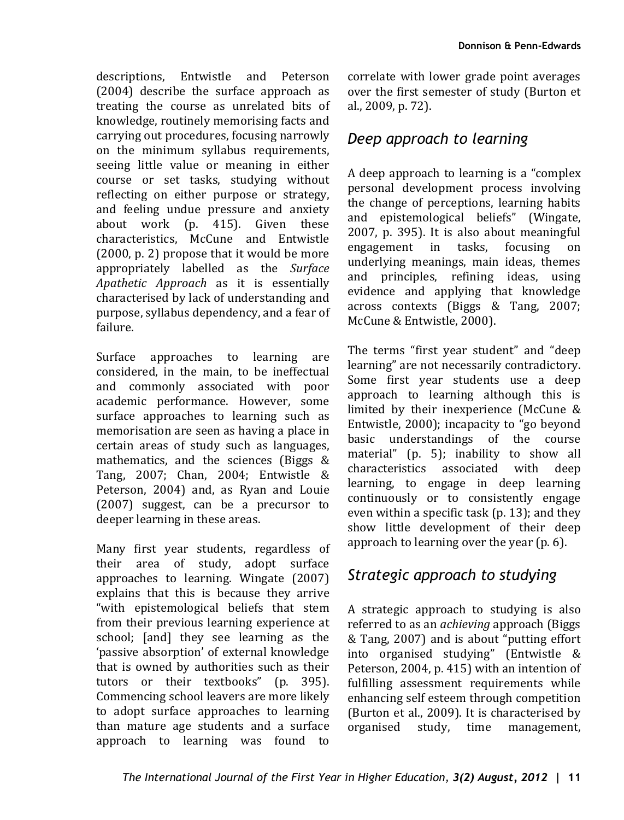descriptions, Entwistle and Peterson (2004) describe the surface approach as treating the course as unrelated bits of knowledge, routinely memorising facts and carrying out procedures, focusing narrowly on the minimum syllabus requirements, seeing little value or meaning in either course or set tasks, studying without reflecting on either purpose or strategy, and feeling undue pressure and anxiety about work (p. 415). Given these characteristics, McCune and Entwistle (2000, p. 2) propose that it would be more appropriately labelled as the *Surface Apathetic Approach* as it is essentially characterised by lack of understanding and purpose, syllabus dependency, and a fear of failure.

Surface approaches to learning are considered, in the main, to be ineffectual and commonly associated with poor academic performance. However, some surface approaches to learning such as memorisation are seen as having a place in certain areas of study such as languages, mathematics, and the sciences (Biggs & Tang, 2007; Chan, 2004; Entwistle & Peterson, 2004) and, as Ryan and Louie (2007) suggest, can be a precursor to deeper learning in these areas.

Many first year students, regardless of their area of study, adopt surface approaches to learning. Wingate (2007) explains that this is because they arrive "with epistemological beliefs that stem from their previous learning experience at school; [and] they see learning as the 'passive absorption' of external knowledge that is owned by authorities such as their tutors or their textbooks" (p. 395). Commencing school leavers are more likely to adopt surface approaches to learning than mature age students and a surface approach to learning was found to

correlate with lower grade point averages over the first semester of study (Burton et al., 2009, p. 72).

## *Deep approach to learning*

A deep approach to learning is a "complex personal development process involving the change of perceptions, learning habits and epistemological beliefs" (Wingate, 2007, p. 395). It is also about meaningful engagement in tasks, focusing on underlying meanings, main ideas, themes and principles, refining ideas, using evidence and applying that knowledge across contexts (Biggs & Tang, 2007; McCune & Entwistle, 2000).

The terms "first year student" and "deep learning" are not necessarily contradictory. Some first year students use a deep approach to learning although this is limited by their inexperience (McCune & Entwistle, 2000); incapacity to "go beyond basic understandings of the course material" (p. 5); inability to show all characteristics associated with deep learning, to engage in deep learning continuously or to consistently engage even within a specific task (p. 13); and they show little development of their deep approach to learning over the year (p. 6).

## *Strategic approach to studying*

A strategic approach to studying is also referred to as an *achieving* approach (Biggs & Tang, 2007) and is about "putting effort into organised studying" (Entwistle & Peterson, 2004, p. 415) with an intention of fulfilling assessment requirements while enhancing self esteem through competition (Burton et al., 2009). It is characterised by organised study, time management, time management.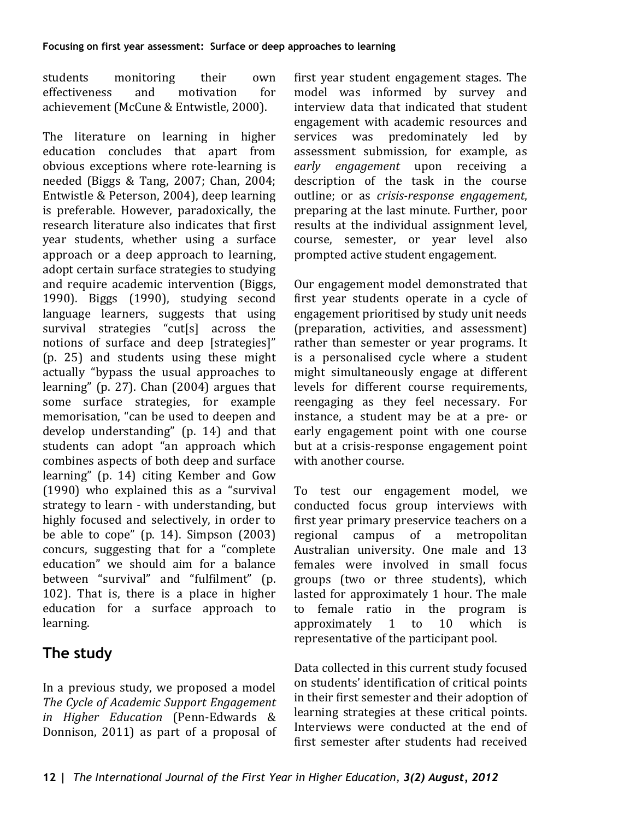students monitoring their own<br>effectiveness and motivation for effectiveness achievement (McCune & Entwistle, 2000).

The literature on learning in higher education concludes that apart from obvious exceptions where rote-learning is needed (Biggs & Tang, 2007; Chan, 2004; Entwistle & Peterson, 2004), deep learning is preferable. However, paradoxically, the research literature also indicates that first year students, whether using a surface approach or a deep approach to learning, adopt certain surface strategies to studying and require academic intervention (Biggs, 1990). Biggs (1990), studying second language learners, suggests that using survival strategies "cut[s] across the notions of surface and deep [strategies]" (p. 25) and students using these might actually "bypass the usual approaches to learning" (p. 27). Chan (2004) argues that some surface strategies, for example memorisation, "can be used to deepen and develop understanding" (p. 14) and that students can adopt "an approach which combines aspects of both deep and surface learning" (p. 14) citing Kember and Gow (1990) who explained this as a "survival strategy to learn - with understanding, but highly focused and selectively, in order to be able to cope" (p. 14). Simpson (2003) concurs, suggesting that for a "complete education" we should aim for a balance between "survival" and "fulfilment" (p. 102). That is, there is a place in higher education for a surface approach to learning.

## **The study**

In a previous study, we proposed a model *The Cycle of Academic Support Engagement in Higher Education* (Penn-Edwards & Donnison, 2011) as part of a proposal of

first year student engagement stages. The model was informed by survey and interview data that indicated that student engagement with academic resources and services was predominately led by assessment submission, for example, as *early engagement* upon receiving a description of the task in the course outline; or as *crisis-response engagement*, preparing at the last minute. Further, poor results at the individual assignment level, course, semester, or year level also prompted active student engagement.

Our engagement model demonstrated that first year students operate in a cycle of engagement prioritised by study unit needs (preparation, activities, and assessment) rather than semester or year programs. It is a personalised cycle where a student might simultaneously engage at different levels for different course requirements, reengaging as they feel necessary. For instance, a student may be at a pre- or early engagement point with one course but at a crisis-response engagement point with another course.

To test our engagement model, we conducted focus group interviews with first year primary preservice teachers on a regional campus of a metropolitan Australian university. One male and 13 females were involved in small focus groups (two or three students), which lasted for approximately 1 hour. The male<br>to female ratio in the program is female ratio in the program is<br>roximately  $1$  to  $10$  which is approximately representative of the participant pool.

Data collected in this current study focused on students' identification of critical points in their first semester and their adoption of learning strategies at these critical points. Interviews were conducted at the end of first semester after students had received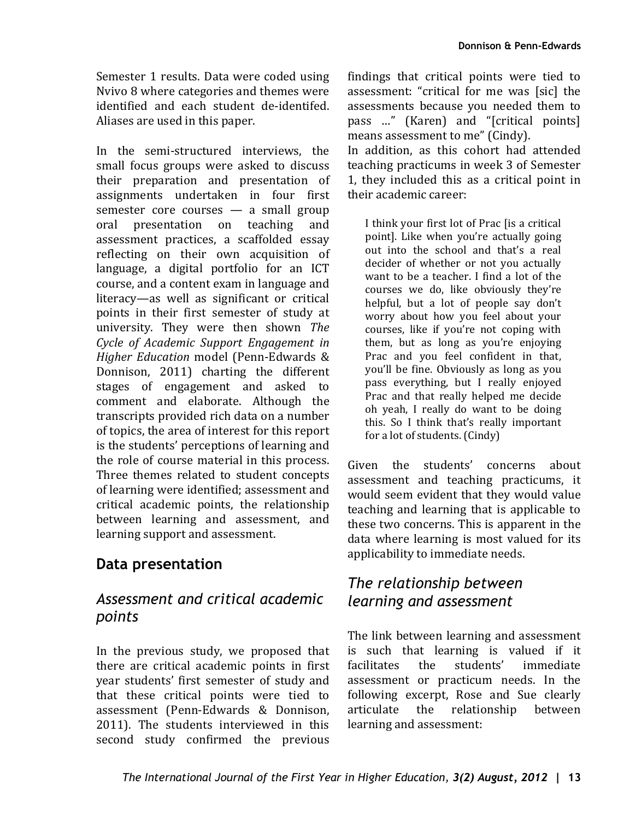Semester 1 results. Data were coded using Nvivo 8 where categories and themes were identified and each student de-identifed. Aliases are used in this paper.

In the semi-structured interviews, the small focus groups were asked to discuss their preparation and presentation of assignments undertaken in four first semester core courses — a small group<br>oral presentation on teaching and presentation on assessment practices, a scaffolded essay reflecting on their own acquisition of language, a digital portfolio for an ICT course, and a content exam in language and literacy—as well as significant or critical points in their first semester of study at university. They were then shown *The Cycle of Academic Support Engagement in Higher Education* model (Penn-Edwards & Donnison, 2011) charting the different stages of engagement and asked to comment and elaborate. Although the transcripts provided rich data on a number of topics, the area of interest for this report is the students' perceptions of learning and the role of course material in this process. Three themes related to student concepts of learning were identified; assessment and critical academic points, the relationship between learning and assessment, and learning support and assessment.

## **Data presentation**

### *Assessment and critical academic points*

In the previous study, we proposed that there are critical academic points in first year students' first semester of study and that these critical points were tied to assessment (Penn-Edwards & Donnison, 2011). The students interviewed in this second study confirmed the previous

findings that critical points were tied to assessment: "critical for me was [sic] the assessments because you needed them to pass …" (Karen) and "[critical points] means assessment to me" (Cindy).

In addition, as this cohort had attended teaching practicums in week 3 of Semester 1, they included this as a critical point in their academic career:

I think your first lot of Prac [is a critical point]. Like when you're actually going out into the school and that's a real decider of whether or not you actually want to be a teacher. I find a lot of the courses we do, like obviously they're helpful, but a lot of people say don't worry about how you feel about your courses, like if you're not coping with them, but as long as you're enjoying Prac and you feel confident in that, you'll be fine. Obviously as long as you pass everything, but I really enjoyed Prac and that really helped me decide oh yeah, I really do want to be doing this. So I think that's really important for a lot of students. (Cindy)

Given the students' concerns about assessment and teaching practicums, it would seem evident that they would value teaching and learning that is applicable to these two concerns. This is apparent in the data where learning is most valued for its applicability to immediate needs.

### *The relationship between learning and assessment*

The link between learning and assessment is such that learning is valued if it facilitates the students' immediate assessment or practicum needs. In the following excerpt, Rose and Sue clearly<br>articulate the relationship between the relationship between learning and assessment: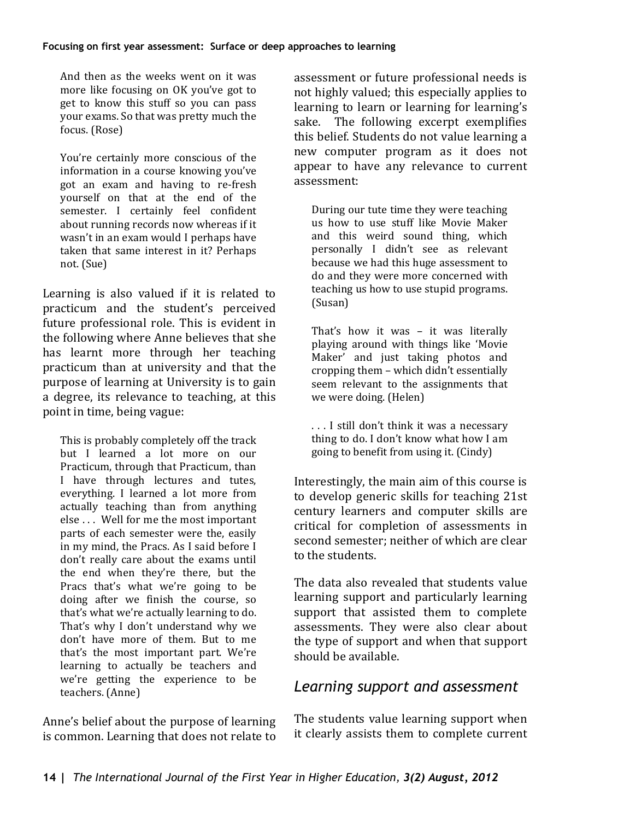And then as the weeks went on it was more like focusing on OK you've got to get to know this stuff so you can pass your exams. So that was pretty much the focus. (Rose)

You're certainly more conscious of the information in a course knowing you've got an exam and having to re-fresh yourself on that at the end of the semester. I certainly feel confident about running records now whereas if it wasn't in an exam would I perhaps have taken that same interest in it? Perhaps not. (Sue)

Learning is also valued if it is related to practicum and the student's perceived future professional role. This is evident in the following where Anne believes that she has learnt more through her teaching practicum than at university and that the purpose of learning at University is to gain a degree, its relevance to teaching, at this point in time, being vague:

This is probably completely off the track but I learned a lot more on our Practicum, through that Practicum, than I have through lectures and tutes, everything. I learned a lot more from actually teaching than from anything else . . . Well for me the most important parts of each semester were the, easily in my mind, the Pracs. As I said before I don't really care about the exams until the end when they're there, but the Pracs that's what we're going to be doing after we finish the course, so that's what we're actually learning to do. That's why I don't understand why we don't have more of them. But to me that's the most important part. We're learning to actually be teachers and we're getting the experience to be teachers. (Anne)

Anne's belief about the purpose of learning is common. Learning that does not relate to assessment or future professional needs is not highly valued; this especially applies to learning to learn or learning for learning's sake. The following excerpt exemplifies this belief. Students do not value learning a new computer program as it does not appear to have any relevance to current assessment:

During our tute time they were teaching us how to use stuff like Movie Maker and this weird sound thing, which personally I didn't see as relevant because we had this huge assessment to do and they were more concerned with teaching us how to use stupid programs. (Susan)

That's how it was – it was literally playing around with things like 'Movie Maker' and just taking photos and cropping them – which didn't essentially seem relevant to the assignments that we were doing. (Helen)

. . . I still don't think it was a necessary thing to do. I don't know what how I am going to benefit from using it. (Cindy)

Interestingly, the main aim of this course is to develop generic skills for teaching 21st century learners and computer skills are critical for completion of assessments in second semester; neither of which are clear to the students.

The data also revealed that students value learning support and particularly learning support that assisted them to complete assessments. They were also clear about the type of support and when that support should be available.

#### *Learning support and assessment*

The students value learning support when it clearly assists them to complete current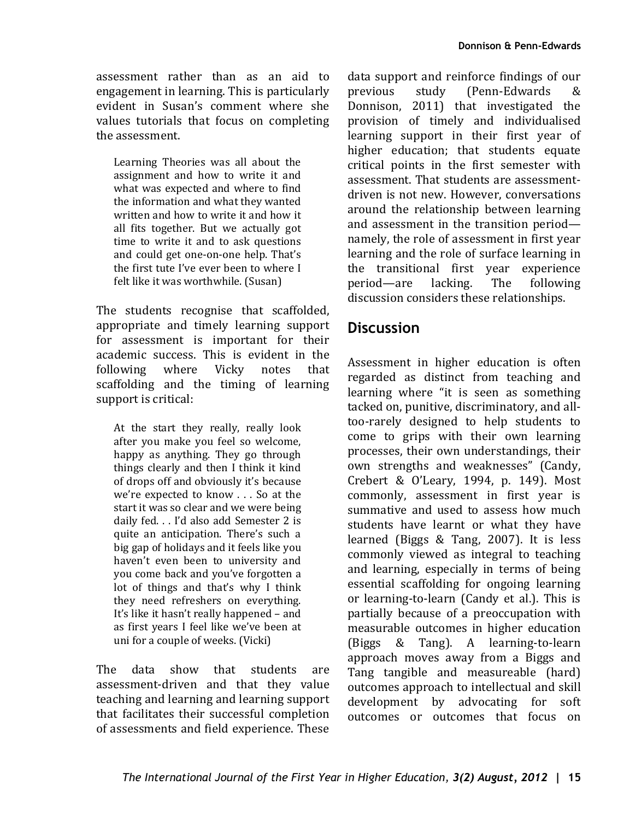assessment rather than as an aid to engagement in learning. This is particularly evident in Susan's comment where she values tutorials that focus on completing the assessment.

Learning Theories was all about the assignment and how to write it and what was expected and where to find the information and what they wanted written and how to write it and how it all fits together. But we actually got time to write it and to ask questions and could get one-on-one help. That's the first tute I've ever been to where I felt like it was worthwhile. (Susan)

The students recognise that scaffolded, appropriate and timely learning support for assessment is important for their academic success. This is evident in the<br>following where Vicky notes that where Vicky notes scaffolding and the timing of learning support is critical:

At the start they really, really look after you make you feel so welcome, happy as anything. They go through things clearly and then I think it kind of drops off and obviously it's because we're expected to know . . . So at the start it was so clear and we were being daily fed. . . I'd also add Semester 2 is quite an anticipation. There's such a big gap of holidays and it feels like you haven't even been to university and you come back and you've forgotten a lot of things and that's why I think they need refreshers on everything. It's like it hasn't really happened – and as first years I feel like we've been at uni for a couple of weeks. (Vicki)

The data show that students are assessment-driven and that they value teaching and learning and learning support that facilitates their successful completion of assessments and field experience. These

data support and reinforce findings of our<br>previous study (Penn-Edwards & (Penn-Edwards Donnison, 2011) that investigated the provision of timely and individualised learning support in their first year of higher education; that students equate critical points in the first semester with assessment. That students are assessmentdriven is not new. However, conversations around the relationship between learning and assessment in the transition period namely, the role of assessment in first year learning and the role of surface learning in the transitional first year experience<br>period—are lacking. The following period—are lacking. The following discussion considers these relationships.

### **Discussion**

Assessment in higher education is often regarded as distinct from teaching and learning where "it is seen as something tacked on, punitive, discriminatory, and alltoo-rarely designed to help students to come to grips with their own learning processes, their own understandings, their own strengths and weaknesses" (Candy, Crebert & O'Leary, 1994, p. 149). Most commonly, assessment in first year is summative and used to assess how much students have learnt or what they have learned (Biggs & Tang, 2007). It is less commonly viewed as integral to teaching and learning, especially in terms of being essential scaffolding for ongoing learning or learning-to-learn (Candy et al.). This is partially because of a preoccupation with measurable outcomes in higher education (Biggs & Tang). A learning-to-learn approach moves away from a Biggs and Tang tangible and measureable (hard) outcomes approach to intellectual and skill development by advocating for soft outcomes or outcomes that focus on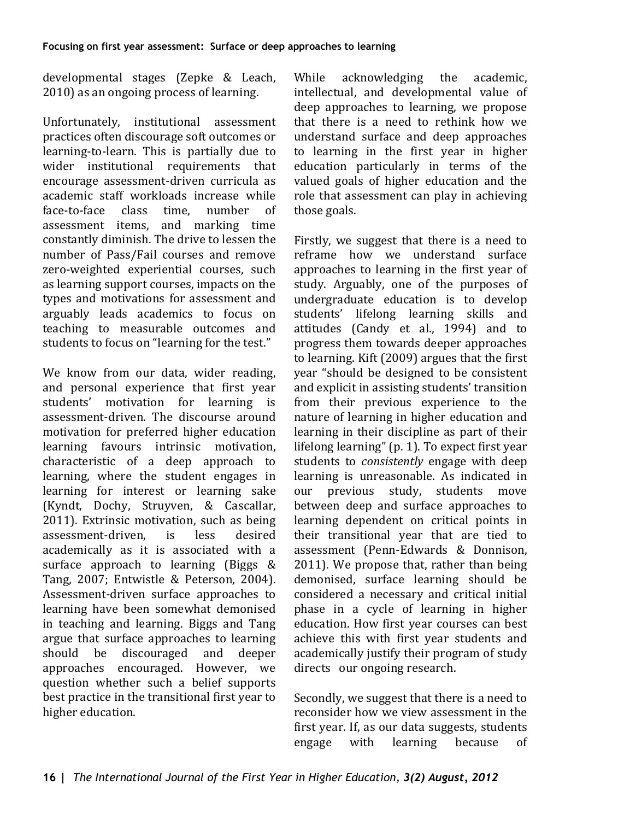developmental stages (Zepke & Leach, 2010) as an ongoing process of learning.

Unfortunately, institutional assessment practices often discourage soft outcomes or learning-to-learn. This is partially due to wider institutional requirements that encourage assessment-driven curricula as academic staff workloads increase while<br>face-to-face class time number of face-to-face class time, number of assessment items, and marking time constantly diminish. The drive to lessen the number of Pass/Fail courses and remove zero-weighted experiential courses, such as learning support courses, impacts on the types and motivations for assessment and arguably leads academics to focus on teaching to measurable outcomes and students to focus on "learning for the test."

We know from our data, wider reading, and personal experience that first year students' motivation for learning is assessment-driven. The discourse around motivation for preferred higher education learning favours intrinsic motivation, characteristic of a deep approach to learning, where the student engages in learning for interest or learning sake (Kyndt, Dochy, Struyven, & Cascallar, 2011). Extrinsic motivation, such as being<br>assessment-driven. is less desired assessment-driven. academically as it is associated with a surface approach to learning (Biggs & Tang, 2007; Entwistle & Peterson, 2004). Assessment-driven surface approaches to learning have been somewhat demonised in teaching and learning. Biggs and Tang argue that surface approaches to learning<br>should be discouraged and deeper discouraged approaches encouraged. However, we question whether such a belief supports best practice in the transitional first year to higher education.

While acknowledging the academic. intellectual, and developmental value of deep approaches to learning, we propose that there is a need to rethink how we understand surface and deep approaches to learning in the first year in higher education particularly in terms of the valued goals of higher education and the role that assessment can play in achieving those goals.

Firstly, we suggest that there is a need to reframe how we understand surface approaches to learning in the first year of study. Arguably, one of the purposes of undergraduate education is to develop students' lifelong learning skills and attitudes (Candy et al., 1994) and to progress them towards deeper approaches to learning. Kift (2009) argues that the first year "should be designed to be consistent and explicit in assisting students' transition from their previous experience to the nature of learning in higher education and learning in their discipline as part of their lifelong learning" (p. 1). To expect first year students to *consistently* engage with deep learning is unreasonable. As indicated in our previous study, students move between deep and surface approaches to learning dependent on critical points in their transitional year that are tied to assessment (Penn-Edwards & Donnison, 2011). We propose that, rather than being demonised, surface learning should be considered a necessary and critical initial phase in a cycle of learning in higher education. How first year courses can best achieve this with first year students and academically justify their program of study directs our ongoing research.

Secondly, we suggest that there is a need to reconsider how we view assessment in the first year. If, as our data suggests, students<br>engage with learning because of learning because of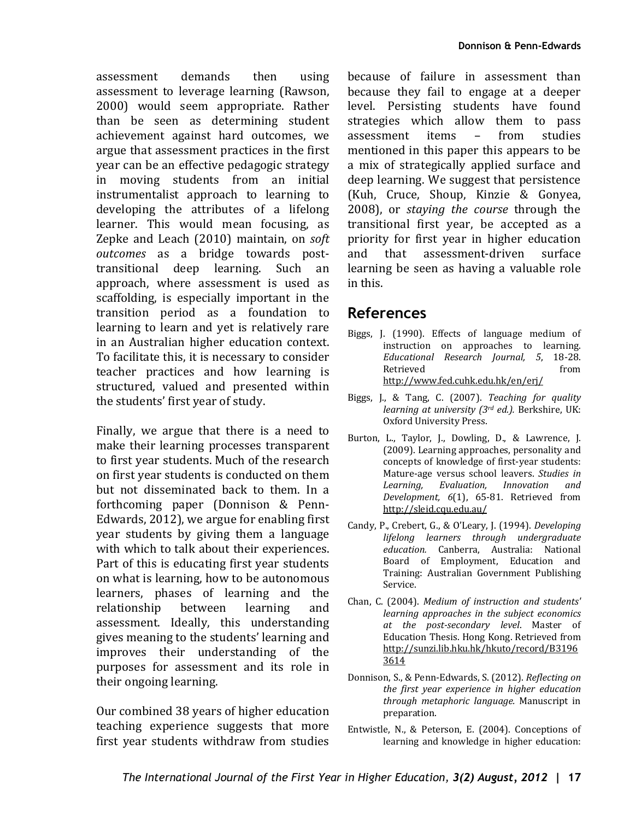assessment demands then using assessment to leverage learning (Rawson, 2000) would seem appropriate. Rather than be seen as determining student achievement against hard outcomes, we argue that assessment practices in the first year can be an effective pedagogic strategy in moving students from an initial instrumentalist approach to learning to developing the attributes of a lifelong learner. This would mean focusing, as Zepke and Leach (2010) maintain, on *soft outcomes* as a bridge towards posttransitional deep learning. Such an approach, where assessment is used as scaffolding, is especially important in the transition period as a foundation to learning to learn and yet is relatively rare in an Australian higher education context. To facilitate this, it is necessary to consider teacher practices and how learning is structured, valued and presented within the students' first year of study.

Finally, we argue that there is a need to make their learning processes transparent to first year students. Much of the research on first year students is conducted on them but not disseminated back to them. In a forthcoming paper (Donnison & Penn-Edwards, 2012), we argue for enabling first year students by giving them a language with which to talk about their experiences. Part of this is educating first year students on what is learning, how to be autonomous learners, phases of learning and the relationship between learning and assessment. Ideally, this understanding gives meaning to the students' learning and improves their understanding of the purposes for assessment and its role in their ongoing learning.

Our combined 38 years of higher education teaching experience suggests that more first year students withdraw from studies

because of failure in assessment than because they fail to engage at a deeper level. Persisting students have found strategies which allow them to pass<br>assessment items - from studies assessment mentioned in this paper this appears to be a mix of strategically applied surface and deep learning. We suggest that persistence (Kuh, Cruce, Shoup, Kinzie & Gonyea, 2008), or *staying the course* through the transitional first year, be accepted as a priority for first year in higher education<br>and that assessment-driven surface that assessment-driven learning be seen as having a valuable role in this.

#### **References**

- Biggs, J. (1990). Effects of language medium of instruction on approaches to learning. *Educational Research Journal, 5*, 18-28. Retrieved from http://www.fed.cuhk.edu.hk/en/erj/
- Biggs, J., & Tang, C. (2007). *Teaching for quality learning at university (3rd ed.).* Berkshire, UK: Oxford University Press.
- Burton, L., Taylor, J., Dowling, D., & Lawrence, J. (2009). Learning approaches, personality and concepts of knowledge of first-year students: Mature-age versus school leavers. *Studies in*  $In novation$ *Development, 6*(1), 65-81. Retrieved from http://sleid.cqu.edu.au/
- Candy, P., Crebert, G., & O'Leary, J. (1994). *Developing lifelong learners through undergraduate education.* Canberra, Australia: National Board of Employment, Education and Training: Australian Government Publishing Service.
- Chan, C. (2004). *Medium of instruction and students' learning approaches in the subject economics at the post-secondary level*. Master of Education Thesis. Hong Kong. Retrieved from [http://sunzi.lib.hku.hk/hkuto/record/B3196](http://sunzi.lib.hku.hk/hkuto/record/B31963614) [3614](http://sunzi.lib.hku.hk/hkuto/record/B31963614)
- Donnison, S., & Penn-Edwards, S. (2012). *Reflecting on the first year experience in higher education through metaphoric language.* Manuscript in preparation.
- Entwistle, N., & Peterson, E. (2004). Conceptions of learning and knowledge in higher education: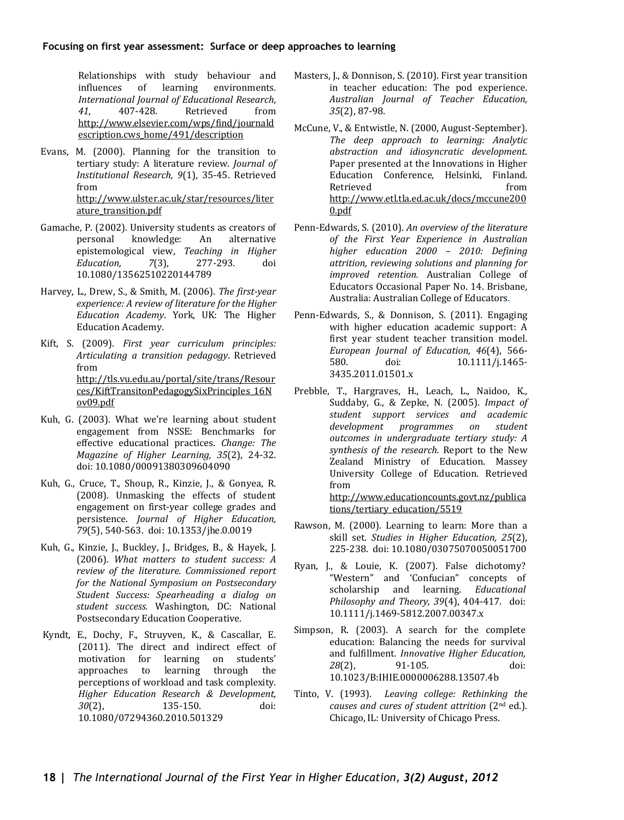Relationships with study behaviour and<br>influences of learning environments. of learning *International Journal of Educational Research*, *41*, 407-428. Retrieved from http://www.elsevier.com/wps/find/journald escription.cws home/491/description

- Evans, M. (2000). Planning for the transition to tertiary study: A literature review. *Journal of Institutional Research, 9*(1), 35-45. Retrieved from http://www.ulster.ac.uk/star/resources/liter ature\_transition.pdf
- Gamache, P. (2002). University students as creators of personal knowledge: An alternative An alternative epistemological view, *Teaching in Higher Education*. 10.1080/13562510220144789
- Harvey, L., Drew, S., & Smith, M. (2006). *The first-year experience: A review of literature for the Higher Education Academy*. York, UK: The Higher Education Academy.
- Kift, S. (2009). *First year curriculum principles: Articulating a transition pedagogy*. Retrieved from http://tls.vu.edu.au/portal/site/trans/Resour ces/KiftTransitonPedagogySixPrinciples\_16N ov09.pdf
- Kuh, G. (2003). What we're learning about student engagement from NSSE: Benchmarks for effective educational practices. *Change: The Magazine of Higher Learning, 35*(2), 24-32. doi: 10.1080/00091380309604090
- Kuh, G., Cruce, T., Shoup, R., Kinzie, J., & Gonyea, R. (2008). Unmasking the effects of student engagement on first-year college grades and persistence. *Journal of Higher Education, 79*(5), 540-563. doi: 10.1353/jhe.0.0019
- Kuh, G., Kinzie, J., Buckley, J., Bridges, B., & Hayek, J. (2006). *What matters to student success: A review of the literature. Commissioned report for the National Symposium on Postsecondary Student Success: Spearheading a dialog on student success.* Washington, DC: National Postsecondary Education Cooperative.
- Kyndt, E., Dochy, F., Struyven, K., & Cascallar, E. (2011). The direct and indirect effect of motivation for learning on students' motivation for learning on students'<br>approaches to learning through the learning through the perceptions of workload and task complexity. *Higher Education Research & Development, 30*(2), 135-150. doi: 10.1080/07294360.2010.501329
- Masters, J., & Donnison, S. (2010). First year transition in teacher education: The pod experience. *Australian Journal of Teacher Education, 35*(2), 87-98.
- McCune, V., & Entwistle, N. (2000, August-September). *The deep approach to learning: Analytic abstraction and idiosyncratic development*. Paper presented at the Innovations in Higher Education Conference, Helsinki, Finland. Retrieved from http://www.etl.tla.ed.ac.uk/docs/mccune200 0.pdf
- Penn-Edwards, S. (2010). *An overview of the literature of the First Year Experience in Australian higher education 2000 – 2010: Defining attrition, reviewing solutions and planning for improved retention.* Australian College of Educators Occasional Paper No. 14. Brisbane, Australia: Australian College of Educators.
- Penn-Edwards, S., & Donnison, S. (2011). Engaging with higher education academic support: A first year student teacher transition model. *European Journal of Education, 46*(4), 566- 580. doi: 10.1111/j.1465- 3435.2011.01501.x
- Prebble, T., Hargraves, H., Leach, L., Naidoo, K., Suddaby, G., & Zepke, N. (2005). *Impact of student support services and academic development programmes on student outcomes in undergraduate tertiary study: A synthesis of the research.* Report to the New Zealand Ministry of Education. Massey University College of Education. Retrieved from

http://www.educationcounts.govt.nz/publica tions/tertiary\_education/5519

- Rawson, M. (2000). Learning to learn: More than a skill set. *Studies in Higher Education, 25*(2), 225-238. doi: 10.1080/03075070050051700
- Ryan, J., & Louie, K. (2007). False dichotomy? "Western" and 'Confucian" concepts of scholarship and learning. *Educational Philosophy and Theory, 39*(4), 404-417. doi: 10.1111/j.1469-5812.2007.00347.x
- Simpson, R. (2003). A search for the complete education: Balancing the needs for survival and fulfillment*. Innovative Higher Education, 28*(2), 91-105*.* doi: 10.1023/B:IHIE.0000006288.13507.4b
- Tinto, V. (1993). *Leaving college: Rethinking the causes and cures of student attrition* (2nd ed.)*.* Chicago, IL: University of Chicago Press.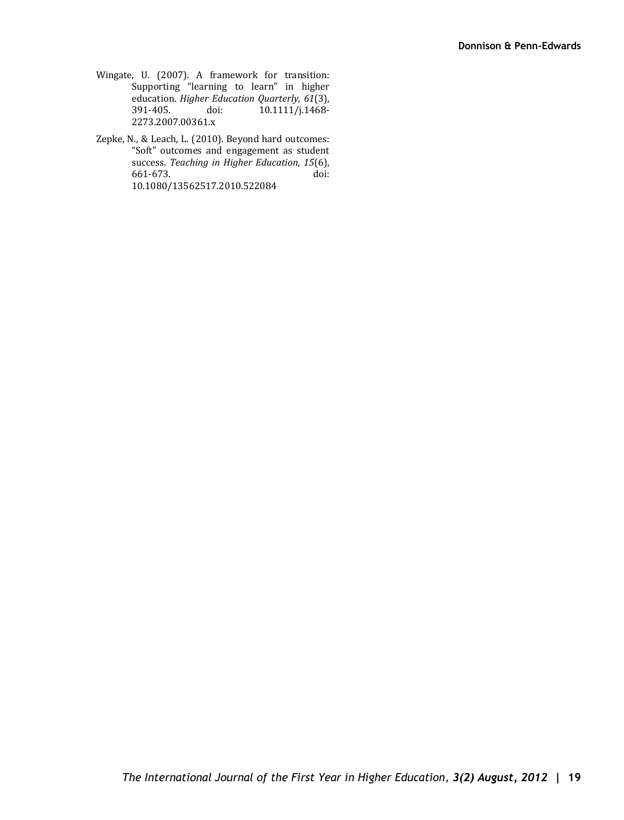- Wingate, U. (2007). A framework for transition: Supporting "learning to learn" in higher education. *Higher Education Quarterly, 61*(3),  $10.1111/j.1468-$ 2273.2007.00361.x
- Zepke, N., & Leach, L. (2010). Beyond hard outcomes: "Soft" outcomes and engagement as student success. *Teaching in Higher Education, 15*(6), 661-673. doi: 10.1080/13562517.2010.522084